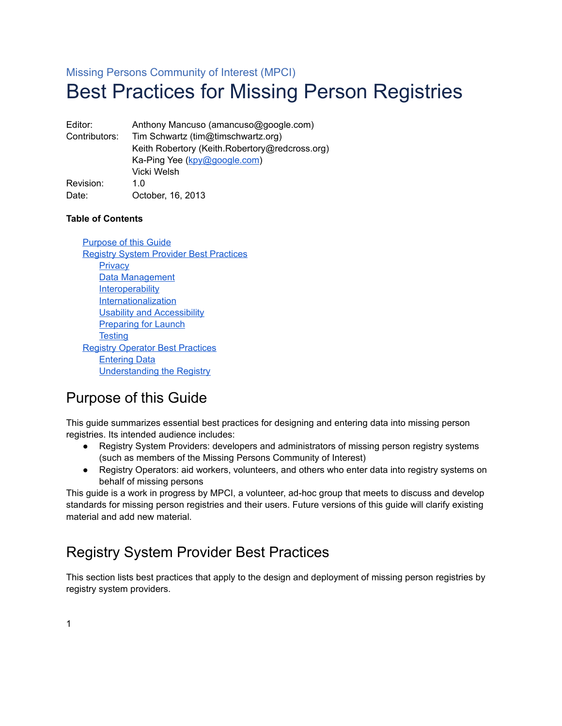# Missing Persons Community of Interest (MPCI) Best Practices for Missing Person Registries

Editor: Anthony Mancuso (amancuso@google.com) Contributors: Tim Schwartz (tim@timschwartz.org) Keith Robertory (Keith.Robertory@redcross.org) Ka-Ping Yee (kpy@google.com) Vicki Welsh Revision: 1.0 Date: October, 16, 2013

#### **Table of Contents**

<span id="page-0-0"></span> [Purpose of this Guide](#page-0-2)  [Registry System Provider Best Practices](#page-0-1) **[Privacy](#page-0-0)** Data Management **[Interoperability](#page-1-1)** [Internationalization](#page-1-0)  [Usability and Accessibility](#page-2-4)  [Preparing for Launch](#page-2-3) **[Testing](#page-2-2)**  [Registry Operator Best Practices](#page-2-1) **Entering Data**  [Understanding the Registry](#page-3-0)

## <span id="page-0-2"></span>Purpose of this Guide

This guide summarizes essential best practices for designing and entering data into missing person registries. Its intended audience includes:

- Registry System Providers: developers and administrators of missing person registry systems (such as members of the Missing Persons Community of Interest)
- Registry Operators: aid workers, volunteers, and others who enter data into registry systems on behalf of missing persons

This guide is a work in progress by MPCI, a volunteer, ad-hoc group that meets to discuss and develop standards for missing person registries and their users. Future versions of this guide will clarify existing material and add new material.

## <span id="page-0-1"></span>Registry System Provider Best Practices

This section lists best practices that apply to the design and deployment of missing person registries by registry system providers.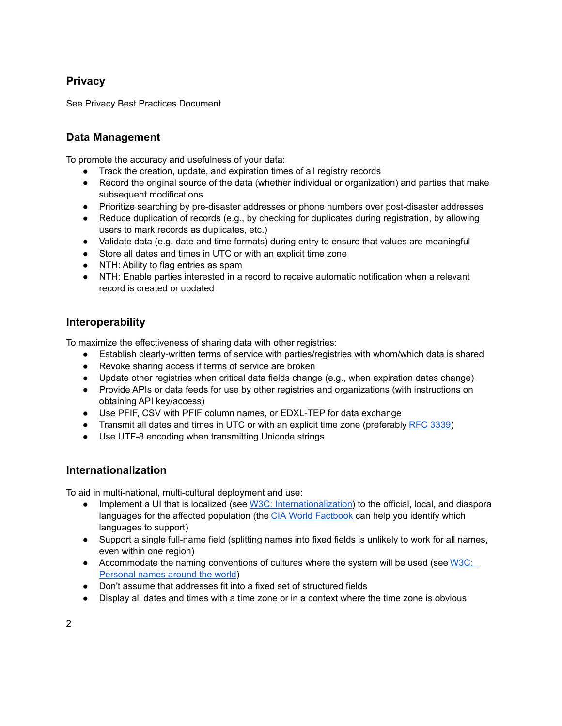#### **Privacy**

See Privacy Best Practices Document

#### <span id="page-1-2"></span>**Data Management**

To promote the accuracy and usefulness of your data:

- Track the creation, update, and expiration times of all registry records
- Record the original source of the data (whether individual or organization) and parties that make subsequent modifications
- Prioritize searching by pre-disaster addresses or phone numbers over post-disaster addresses
- Reduce duplication of records (e.g., by checking for duplicates during registration, by allowing users to mark records as duplicates, etc.)
- Validate data (e.g. date and time formats) during entry to ensure that values are meaningful
- Store all dates and times in UTC or with an explicit time zone
- NTH: Ability to flag entries as spam
- NTH: Enable parties interested in a record to receive automatic notification when a relevant record is created or updated

#### <span id="page-1-1"></span>**Interoperability**

To maximize the effectiveness of sharing data with other registries:

- Establish clearly-written terms of service with parties/registries with whom/which data is shared
- Revoke sharing access if terms of service are broken
- Update other registries when critical data fields change (e.g., when expiration dates change)
- Provide APIs or data feeds for use by other registries and organizations (with instructions on obtaining API key/access)
- Use PFIF, CSV with PFIF column names, or EDXL-TEP for data exchange
- Transmit all dates and times in UTC or with an explicit time zone (preferably RFC 3339)
- Use UTF-8 encoding when transmitting Unicode strings

#### <span id="page-1-0"></span>**Internationalization**

To aid in multi-national, multi-cultural deployment and use:

- Implement a UI that is localized (see W3C: Internationalization) to the official, local, and diaspora languages for the affected population (the [CIA World Factbook](https://www.cia.gov/library/publications/the-world-factbook/) can help you identify which languages to support)
- Support a single full-name field (splitting names into fixed fields is unlikely to work for all names, even within one region)
- Accommodate the naming conventions of cultures where the system will be used (see W3C:  [Personal names around the world\)](http://www.w3.org/International/questions/qa-personal-names)
- Don't assume that addresses fit into a fixed set of structured fields
- Display all dates and times with a time zone or in a context where the time zone is obvious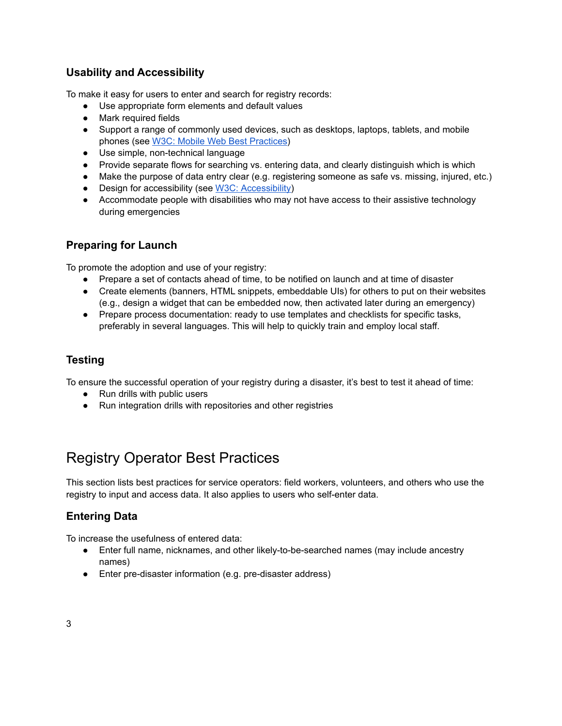## <span id="page-2-4"></span>**Usability and Accessibility**

To make it easy for users to enter and search for registry records:

- Use appropriate form elements and default values
- Mark required fields
- Support a range of commonly used devices, such as desktops, laptops, tablets, and mobile phones (see W3C: Mobile Web Best Practices)
- Use simple, non-technical language
- Provide separate flows for searching vs. entering data, and clearly distinguish which is which
- Make the purpose of data entry clear (e.g. registering someone as safe vs. missing, injured, etc.)
- Design for accessibility (see W3C: Accessibility)
- Accommodate people with disabilities who may not have access to their assistive technology during emergencies

### <span id="page-2-3"></span>**Preparing for Launch**

To promote the adoption and use of your registry:

- Prepare a set of contacts ahead of time, to be notified on launch and at time of disaster
- Create elements (banners, HTML snippets, embeddable UIs) for others to put on their websites (e.g., design a widget that can be embedded now, then activated later during an emergency)
- Prepare process documentation: ready to use templates and checklists for specific tasks, preferably in several languages. This will help to quickly train and employ local staff.

### <span id="page-2-2"></span>**Testing**

To ensure the successful operation of your registry during a disaster, it's best to test it ahead of time:

- Run drills with public users
- Run integration drills with repositories and other registries

## <span id="page-2-1"></span>Registry Operator Best Practices

This section lists best practices for service operators: field workers, volunteers, and others who use the registry to input and access data. It also applies to users who self-enter data.

### <span id="page-2-0"></span>**Entering Data**

To increase the usefulness of entered data:

- Enter full name, nicknames, and other likely-to-be-searched names (may include ancestry names)
- Enter pre-disaster information (e.g. pre-disaster address)